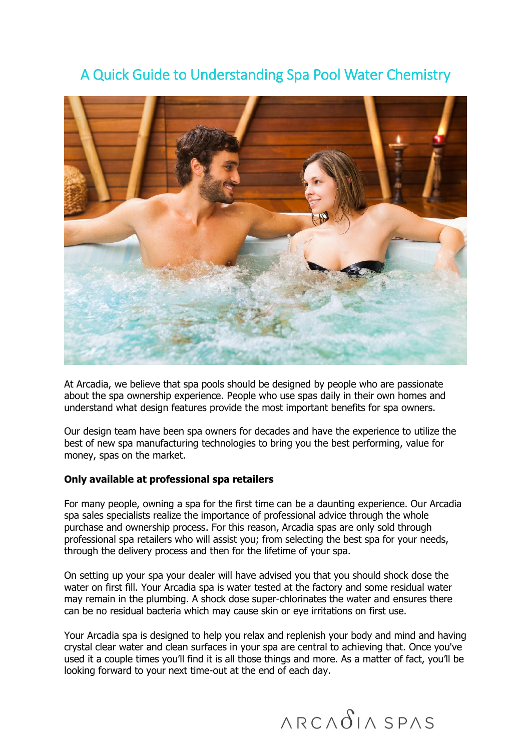

# A Quick Guide to Understanding Spa Pool Water Chemistry

At Arcadia, we believe that spa pools should be designed by people who are passionate about the spa ownership experience. People who use spas daily in their own homes and understand what design features provide the most important benefits for spa owners.

Our design team have been spa owners for decades and have the experience to utilize the best of new spa manufacturing technologies to bring you the best performing, value for money, spas on the market.

#### **Only available at professional spa retailers**

For many people, owning a spa for the first time can be a daunting experience. Our Arcadia spa sales specialists realize the importance of professional advice through the whole purchase and ownership process. For this reason, Arcadia spas are only sold through professional spa retailers who will assist you; from selecting the best spa for your needs, through the delivery process and then for the lifetime of your spa.

On setting up your spa your dealer will have advised you that you should shock dose the water on first fill. Your Arcadia spa is water tested at the factory and some residual water may remain in the plumbing. A shock dose super-chlorinates the water and ensures there can be no residual bacteria which may cause skin or eye irritations on first use.

Your Arcadia spa is designed to help you relax and replenish your body and mind and having crystal clear water and clean surfaces in your spa are central to achieving that. Once you've used it a couple times you'll find it is all those things and more. As a matter of fact, you'll be looking forward to your next time-out at the end of each day.

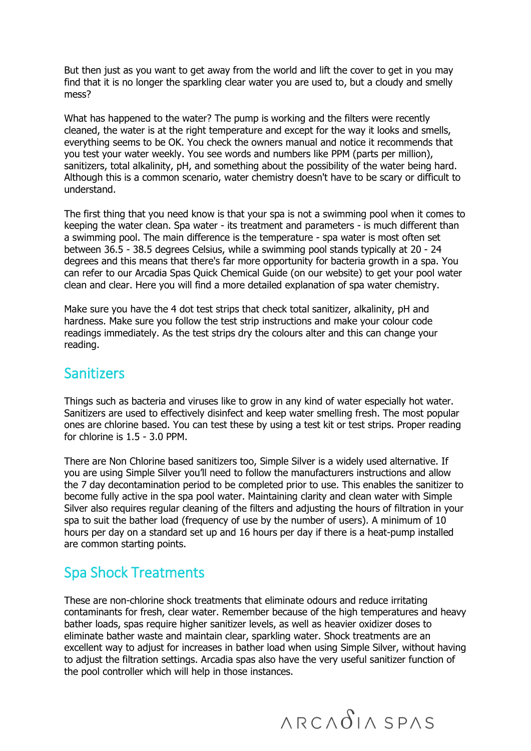But then just as you want to get away from the world and lift the cover to get in you may find that it is no longer the sparkling clear water you are used to, but a cloudy and smelly mess?

What has happened to the water? The pump is working and the filters were recently cleaned, the water is at the right temperature and except for the way it looks and smells, everything seems to be OK. You check the owners manual and notice it recommends that you test your water weekly. You see words and numbers like PPM (parts per million), sanitizers, total alkalinity, pH, and something about the possibility of the water being hard. Although this is a common scenario, water chemistry doesn't have to be scary or difficult to understand.

The first thing that you need know is that your spa is not a swimming pool when it comes to keeping the water clean. Spa water - its treatment and parameters - is much different than a swimming pool. The main difference is the temperature - spa water is most often set between 36.5 - 38.5 degrees Celsius, while a swimming pool stands typically at 20 - 24 degrees and this means that there's far more opportunity for bacteria growth in a spa. You can refer to our Arcadia Spas Quick Chemical Guide (on our website) to get your pool water clean and clear. Here you will find a more detailed explanation of spa water chemistry.

Make sure you have the 4 dot test strips that check total sanitizer, alkalinity, pH and hardness. Make sure you follow the test strip instructions and make your colour code readings immediately. As the test strips dry the colours alter and this can change your reading.

#### **Sanitizers**

Things such as bacteria and viruses like to grow in any kind of water especially hot water. Sanitizers are used to effectively disinfect and keep water smelling fresh. The most popular ones are chlorine based. You can test these by using a test kit or test strips. Proper reading for chlorine is 1.5 - 3.0 PPM.

There are Non Chlorine based sanitizers too, Simple Silver is a widely used alternative. If you are using Simple Silver you'll need to follow the manufacturers instructions and allow the 7 day decontamination period to be completed prior to use. This enables the sanitizer to become fully active in the spa pool water. Maintaining clarity and clean water with Simple Silver also requires regular cleaning of the filters and adjusting the hours of filtration in your spa to suit the bather load (frequency of use by the number of users). A minimum of 10 hours per day on a standard set up and 16 hours per day if there is a heat-pump installed are common starting points.

## Spa Shock Treatments

These are non-chlorine shock treatments that eliminate odours and reduce irritating contaminants for fresh, clear water. Remember because of the high temperatures and heavy bather loads, spas require higher sanitizer levels, as well as heavier oxidizer doses to eliminate bather waste and maintain clear, sparkling water. Shock treatments are an excellent way to adjust for increases in bather load when using Simple Silver, without having to adjust the filtration settings. Arcadia spas also have the very useful sanitizer function of the pool controller which will help in those instances.

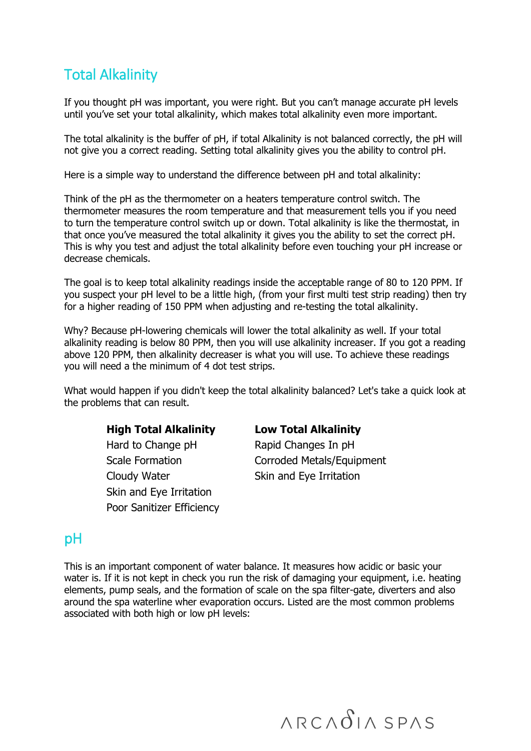# Total Alkalinity

If you thought pH was important, you were right. But you can't manage accurate pH levels until you've set your total alkalinity, which makes total alkalinity even more important.

The total alkalinity is the buffer of pH, if total Alkalinity is not balanced correctly, the pH will not give you a correct reading. Setting total alkalinity gives you the ability to control pH.

Here is a simple way to understand the difference between pH and total alkalinity:

Think of the pH as the thermometer on a heaters temperature control switch. The thermometer measures the room temperature and that measurement tells you if you need to turn the temperature control switch up or down. Total alkalinity is like the thermostat, in that once you've measured the total alkalinity it gives you the ability to set the correct pH. This is why you test and adjust the total alkalinity before even touching your pH increase or decrease chemicals.

The goal is to keep total alkalinity readings inside the acceptable range of 80 to 120 PPM. If you suspect your pH level to be a little high, (from your first multi test strip reading) then try for a higher reading of 150 PPM when adjusting and re-testing the total alkalinity.

Why? Because pH-lowering chemicals will lower the total alkalinity as well. If your total alkalinity reading is below 80 PPM, then you will use alkalinity increaser. If you got a reading above 120 PPM, then alkalinity decreaser is what you will use. To achieve these readings you will need a the minimum of 4 dot test strips.

What would happen if you didn't keep the total alkalinity balanced? Let's take a quick look at the problems that can result.

#### **High Total Alkalinity Low Total Alkalinity**

Hard to Change pH Rapid Changes In pH Cloudy Water Skin and Eye Irritation Skin and Eye Irritation Poor Sanitizer Efficiency

Scale Formation **Corroded Metals/Equipment** 

### pH

This is an important component of water balance. It measures how acidic or basic your water is. If it is not kept in check you run the risk of damaging your equipment, i.e. heating elements, pump seals, and the formation of scale on the spa filter-gate, diverters and also around the spa waterline wher evaporation occurs. Listed are the most common problems associated with both high or low pH levels: